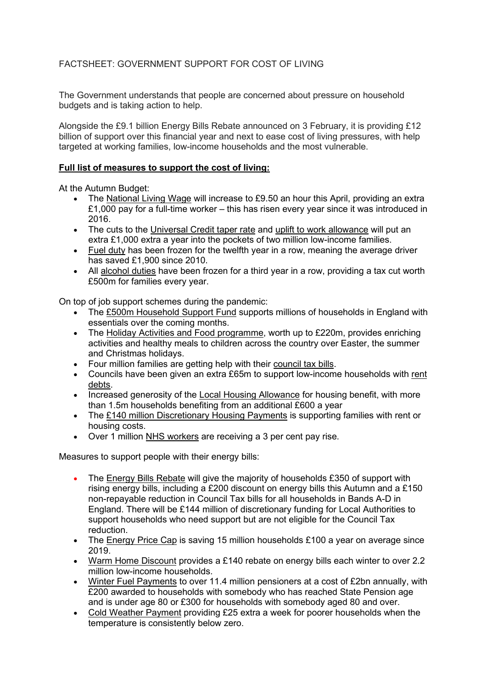## FACTSHEET: GOVERNMENT SUPPORT FOR COST OF LIVING

The Government understands that people are concerned about pressure on household budgets and is taking action to help.

Alongside the £9.1 billion Energy Bills Rebate announced on 3 February, it is providing £12 billion of support over this financial year and next to ease cost of living pressures, with help targeted at working families, low-income households and the most vulnerable.

## **Full list of measures to support the cost of living:**

At the Autumn Budget:

- The National Living Wage will increase to £9.50 an hour this April, providing an extra £1,000 pay for a full-time worker – this has risen every year since it was introduced in 2016.
- The cuts to the Universal Credit taper rate and uplift to work allowance will put an extra £1,000 extra a year into the pockets of two million low-income families.
- Fuel duty has been frozen for the twelfth year in a row, meaning the average driver has saved £1,900 since 2010.
- All alcohol duties have been frozen for a third year in a row, providing a tax cut worth £500m for families every year.

On top of job support schemes during the pandemic:

- The £500m Household Support Fund supports millions of households in England with essentials over the coming months.
- The Holiday Activities and Food programme, worth up to £220m, provides enriching activities and healthy meals to children across the country over Easter, the summer and Christmas holidays.
- Four million families are getting help with their council tax bills.
- Councils have been given an extra £65m to support low-income households with rent debts.
- Increased generosity of the Local Housing Allowance for housing benefit, with more than 1.5m households benefiting from an additional £600 a year
- The £140 million Discretionary Housing Payments is supporting families with rent or housing costs.
- Over 1 million NHS workers are receiving a 3 per cent pay rise.

Measures to support people with their energy bills:

- The Energy Bills Rebate will give the majority of households £350 of support with rising energy bills, including a £200 discount on energy bills this Autumn and a £150 non-repayable reduction in Council Tax bills for all households in Bands A-D in England. There will be £144 million of discretionary funding for Local Authorities to support households who need support but are not eligible for the Council Tax reduction.
- The Energy Price Cap is saving 15 million households £100 a year on average since 2019.
- Warm Home Discount provides a £140 rebate on energy bills each winter to over 2.2 million low-income households.
- Winter Fuel Payments to over 11.4 million pensioners at a cost of £2bn annually, with £200 awarded to households with somebody who has reached State Pension age and is under age 80 or £300 for households with somebody aged 80 and over.
- Cold Weather Payment providing £25 extra a week for poorer households when the temperature is consistently below zero.